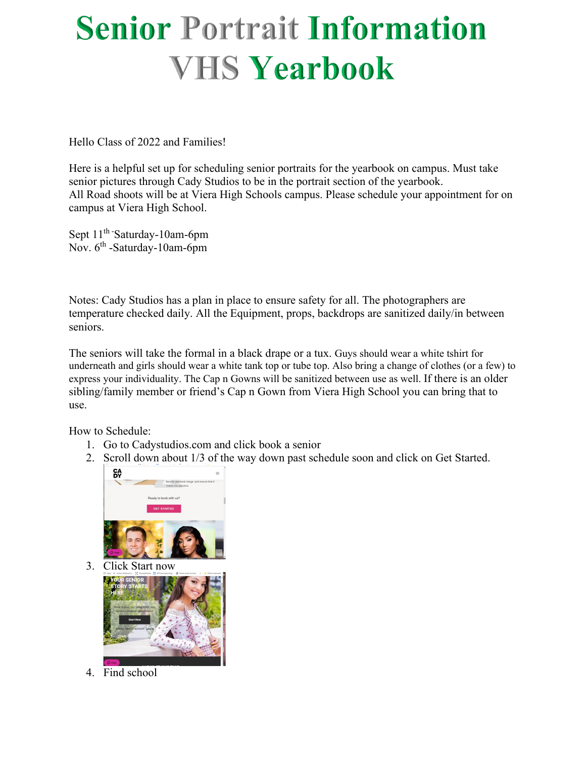## **Senior Portrait Information VHS Yearbook**

Hello Class of 2022 and Families!

Here is a helpful set up for scheduling senior portraits for the yearbook on campus. Must take senior pictures through Cady Studios to be in the portrait section of the yearbook. All Road shoots will be at Viera High Schools campus. Please schedule your appointment for on campus at Viera High School.

Sept 11<sup>th</sup> Saturday-10am-6pm Nov.  $6^{th}$  -Saturday-10am-6pm

Notes: Cady Studios has a plan in place to ensure safety for all. The photographers are temperature checked daily. All the Equipment, props, backdrops are sanitized daily/in between seniors.

The seniors will take the formal in a black drape or a tux. Guys should wear a white tshirt for underneath and girls should wear a white tank top or tube top. Also bring a change of clothes (or a few) to express your individuality. The Cap n Gowns will be sanitized between use as well. If there is an older sibling/family member or friend's Cap n Gown from Viera High School you can bring that to use.

How to Schedule:

- 1. Go to Cadystudios.com and click book a senior
- 2. Scroll down about 1/3 of the way down past schedule soon and click on Get Started.



3. Click Start now



4. Find school